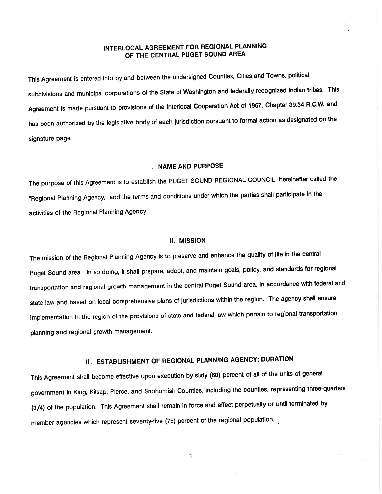### INTERLOCAL AGREEMENT FOR REGIONAL PLANNING OF THE CENTRAL PUGET SOUND AREA

This Agreement is entered into by and between the undersigned Counties, Cities and Towns, political subdivisions and municipal corporations of the State of Washington and federally recognized Indian tribes. This Agreement is made pursuant to provisions of the Interlocal Cooperation Act of 1967, Chapter 39.34 R.C.W. and has been authorized by the legislative body of each jurisdiction pursuant to formal action as designated on the signature page.

## I. NAME AND PURPOSE

The purpose of this Agreement is to establish the PUGET SOUND REGIONAL COUNCIL, hereinafter called the "Regional Planning Agency," and the terms and conditions under which the parties shall participate in the activities of the Regional Planning Agency.

#### ll. MlssloN

The mission of the Regional Planning Agency is to preserve and enhance the quality of life in the central puget Sound area. ln so doing, it shall prepare, adopt, and maintain goals, policy, and standards for regional transportation and regional growth management in the central Puget Sound area, in accordance with federal and state law and based on local comprehensive plans of jurisdictions within the region. The agency shall ensure implementation in the region of the provisions of state and federal law which pertain to regional transportation planning and regional growth management.

# III. ESTABLISHMENT OF REGIONAL PLANNING AGENCY; DURATION

This Agreement shall become effective upon execution by sixty (60) percent of all of the units of general government in King, Kitsap, pierce, and Snohomish Counties, including the counties, representing three-quarters (3/4) of the population. This Agreement shall remain in force and effect perpetually or until terminated by member agencies which represent seventy-five (75) percent of the regional population'

 $\mathbf{1}$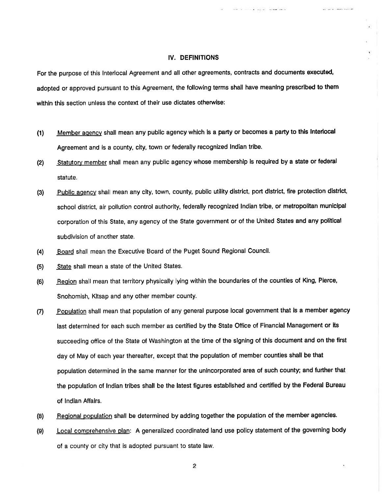#### IV. DEFINITIONS

With Common County Committee of

as for a country manufacturer

For the purpose of this lnterlocal Agreement and all other agreements, contracts and documents executed, adopted or approved pursuant to this Agreement, the following terms shall have meaning prescribed to them within this section unless the context of their use dictates otherwise:

- (1) Member agency shall mean any public agency which is a party or becomes a party to this Interlocal Agreement and is a county, city, town or federally recognized Indian tribe.
- (2) Statutory member shall mean any public agency whose membership is required by a state or federal statute.
- (3) Public agency shall mean any city, town, county, public utility district, port district, fire protection district, school district, air pollution control authority, federally recognized Indian tribe, or metropolitan municipal corporation of this State, any agency of the State government or of the United States and any political subdivision of another state.
- (4) Board shall mean the Executive Board of the Puget Sound Regional Council.
- (5) State shall mean a state of the United States.
- (6) Region shall mean that territory physically lying wíthin the boundaries of the counties of King, Pierce, Snohomish, Kitsap and any other member county.
- (7) Population shall mean that population of any general purpose local government that is a member agency last determined for each such member as certified by the State Office of Financial Management or its succeeding office of the State of Washington at the time of the signing of this document and on the first day of May of each year thereafter, except that the population of member counties shall be that population determined in the same manner for the unincorporated area of such county; and further that the population of lndian tribes shall be the latest figures establlshed and certified by the Federal Bureau of lndian Affalrs.
- (8) Regional population shall be determined by adding together the population of the member agencies.
- (9) Local comprehensive plan: A generalized coordinated land use policy statement of the governing body of a county or city that is adopted pursuant to state law.

 $\overline{c}$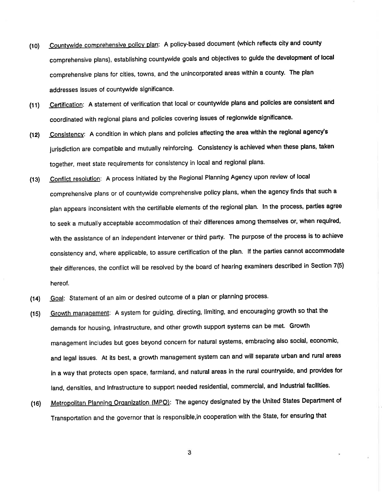- (10) Countywide comprehensive policy plan: A policy-based document (which reflects city and county comprehensive plans), establishing countywide goals and objectives to guide the development of local comprehensive plans for cities, towns, and the unincorporated areas within a county. The plan addresses issues of countywide significance.
- Certification: A statement of verification that local or countywide plans and policies are consistent and coordinated with regional plans and policies covering issues of regionwide significance.  $(11)$
- Consistency: A condition in which plans and policies affecting the area within the regional agency's jurisdiction are compatible and mutually reinforcing. Consistency is achieved when these plans, taken together, meet State requirements for consistency in local and regional plans. (12)
- Conflict resolution: A process initiated by the Regional Planning Agency upon review of local comprehensive plans or of countywide comprehensive policy plans, when the agency finds that such <sup>a</sup> plan appears inconsistent with the certifiable elements of the regional plan. ln the process, parties agree 1o seek a mutually acceptable accommodation of their difierences among themselves or, when required, with the assistance of an independent intervener or third party. The purpose of the process is to achieve consistency and, where applicable, to assure certification of the plan. lf the parties cannot accommodate their differences, the conflict will be resolved by the board of hearing examiners described in Section 7(5) hereof. (13)
- Goal: Statement of an aim or desired outcome of a plan or planning process. (14)
- Growth manaqement: A system for guiding, directing, limiting, and encouraging growth so that the demands for housing, infrastructure, and other growth support systems can be met. Growth management includes but goes beyond concern for natural systems, embracing also social, economic, and legal issues. At its best, a growth management system can and will separate urban and rural areas in a way that protects open space, farmland, and natural areas in the rural countryside, and provides for land, densities, and Infrastructure to support needed residential, commercial, and industrial facilities. (15)
- Metropolitan Planning Organization (MPO): The agency designated by the United States Department of Transportation and the governor that is responsible,in cooperation with the State, for ensuring that (16)

3